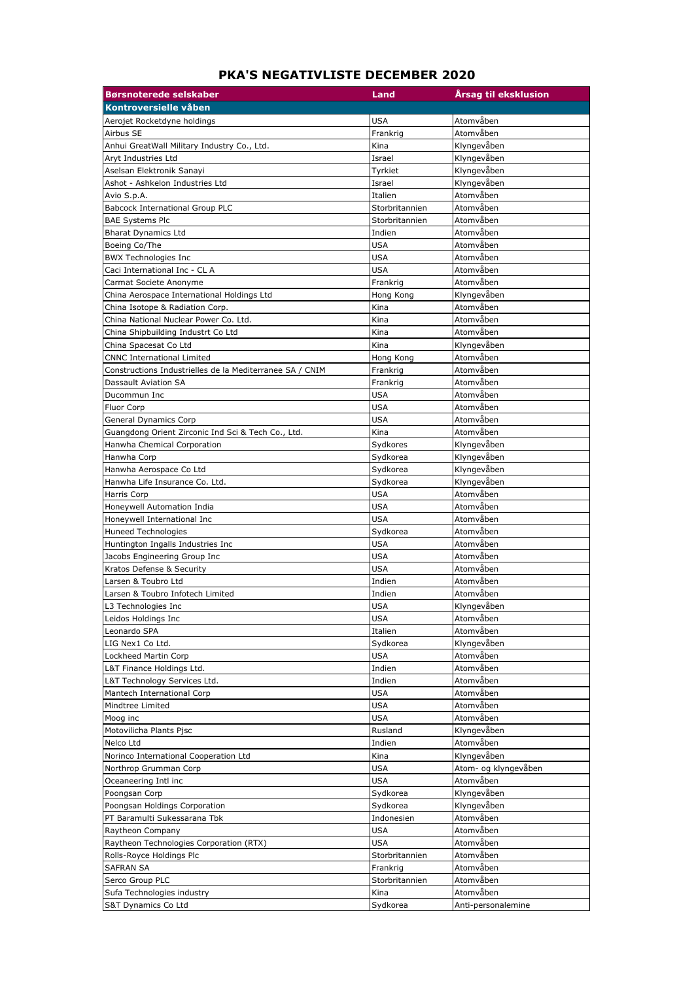## **PKA'S NEGATIVLISTE DECEMBER 2020**

| <b>Børsnoterede selskaber</b>                            | Land           | Årsag til eksklusion |
|----------------------------------------------------------|----------------|----------------------|
| Kontroversielle våben                                    |                |                      |
| Aerojet Rocketdyne holdings                              | <b>USA</b>     | Atomvåben            |
| Airbus SE                                                | Frankrig       | Atomvåben            |
| Anhui GreatWall Military Industry Co., Ltd.              | Kina           | Klyngevåben          |
| Aryt Industries Ltd                                      | Israel         | Klyngevåben          |
| Aselsan Elektronik Sanayi                                | Tyrkiet        | Klyngevåben          |
| Ashot - Ashkelon Industries Ltd                          | Israel         | Klyngevåben          |
| Avio S.p.A.                                              | Italien        | Atomvåben            |
| Babcock International Group PLC                          | Storbritannien | Atomvåben            |
| <b>BAE Systems Plc</b>                                   | Storbritannien | Atomvåben            |
| <b>Bharat Dynamics Ltd</b>                               | Indien         | Atomvåben            |
| Boeing Co/The                                            | <b>USA</b>     | Atomvåben            |
| <b>BWX Technologies Inc</b>                              | USA            | Atomvåben            |
| Caci International Inc - CL A                            | USA            | Atomvåben            |
| Carmat Societe Anonyme                                   | Frankrig       | Atomvåben            |
| China Aerospace International Holdings Ltd               | Hong Kong      | Klyngevåben          |
| China Isotope & Radiation Corp.                          | Kina           | Atomvåben            |
| China National Nuclear Power Co. Ltd.                    | Kina           | Atomvåben            |
| China Shipbuilding Industrt Co Ltd                       | Kina           | Atomvåben            |
| China Spacesat Co Ltd                                    | Kina           | Klyngevåben          |
| <b>CNNC International Limited</b>                        | Hong Kong      | Atomvåben            |
| Constructions Industrielles de la Mediterranee SA / CNIM | Frankrig       | Atomvåben            |
| Dassault Aviation SA                                     | Frankrig       | Atomvåben            |
| Ducommun Inc                                             | USA            | Atomvåben            |
| Fluor Corp                                               | USA            | Atomvåben            |
| <b>General Dynamics Corp</b>                             | <b>USA</b>     | Atomvåben            |
| Guangdong Orient Zirconic Ind Sci & Tech Co., Ltd.       | Kina           | Atomvåben            |
| Hanwha Chemical Corporation                              | Sydkores       | Klyngevåben          |
| Hanwha Corp                                              | Sydkorea       | Klyngevåben          |
| Hanwha Aerospace Co Ltd                                  | Sydkorea       | Klyngevåben          |
| Hanwha Life Insurance Co. Ltd.                           | Sydkorea       | Klyngevåben          |
| <b>Harris Corp</b>                                       | <b>USA</b>     | Atomvåben            |
| Honeywell Automation India                               | <b>USA</b>     | Atomvåben            |
| Honeywell International Inc                              | <b>USA</b>     | Atomvåben            |
| <b>Huneed Technologies</b>                               | Sydkorea       | Atomvåben            |
| Huntington Ingalls Industries Inc                        | USA            | Atomvåben            |
| Jacobs Engineering Group Inc                             | USA            | Atomvåben            |
| Kratos Defense & Security                                | USA            | Atomvåben            |
| Larsen & Toubro Ltd                                      | Indien         | Atomvåben            |
| Larsen & Toubro Infotech Limited                         | Indien         | Atomvåben            |
| L3 Technologies Inc                                      | <b>USA</b>     | Klyngevåben          |
| Leidos Holdings Inc                                      | <b>USA</b>     | Atomvåben            |
| Leonardo SPA                                             | Italien        | Atomvåben            |
| LIG Nex1 Co Ltd.                                         | Sydkorea       | Klyngevåben          |
| Lockheed Martin Corp                                     | USA            | Atomvåben            |
| L&T Finance Holdings Ltd.                                | Indien         | Atomvåben            |
| L&T Technology Services Ltd.                             | Indien         | Atomvåben            |
| Mantech International Corp                               | USA            | Atomvåben            |
| Mindtree Limited                                         | <b>USA</b>     | Atomvåben            |
| Moog inc                                                 | USA            | Atomvåben            |
| Motovilicha Plants Pjsc                                  | Rusland        | Klyngevåben          |
| Nelco Ltd                                                | Indien         | Atomvåben            |
| Norinco International Cooperation Ltd                    | Kina           | Klyngevåben          |
| Northrop Grumman Corp                                    | USA            | Atom- og klyngevåben |
| Oceaneering Intl inc                                     | USA            | Atomvåben            |
| Poongsan Corp                                            | Sydkorea       | Klyngevåben          |
| Poongsan Holdings Corporation                            | Sydkorea       | Klyngevåben          |
| PT Baramulti Sukessarana Tbk                             | Indonesien     | Atomvåben            |
| Raytheon Company                                         | <b>USA</b>     | Atomvåben            |
| Raytheon Technologies Corporation (RTX)                  | <b>USA</b>     | Atomvåben            |
| Rolls-Royce Holdings Plc                                 | Storbritannien | Atomvåben            |
| <b>SAFRAN SA</b>                                         | Frankrig       | Atomvåben            |
| Serco Group PLC                                          | Storbritannien | Atomvåben            |
| Sufa Technologies industry                               | Kina           | Atomvåben            |
| S&T Dynamics Co Ltd                                      | Sydkorea       | Anti-personalemine   |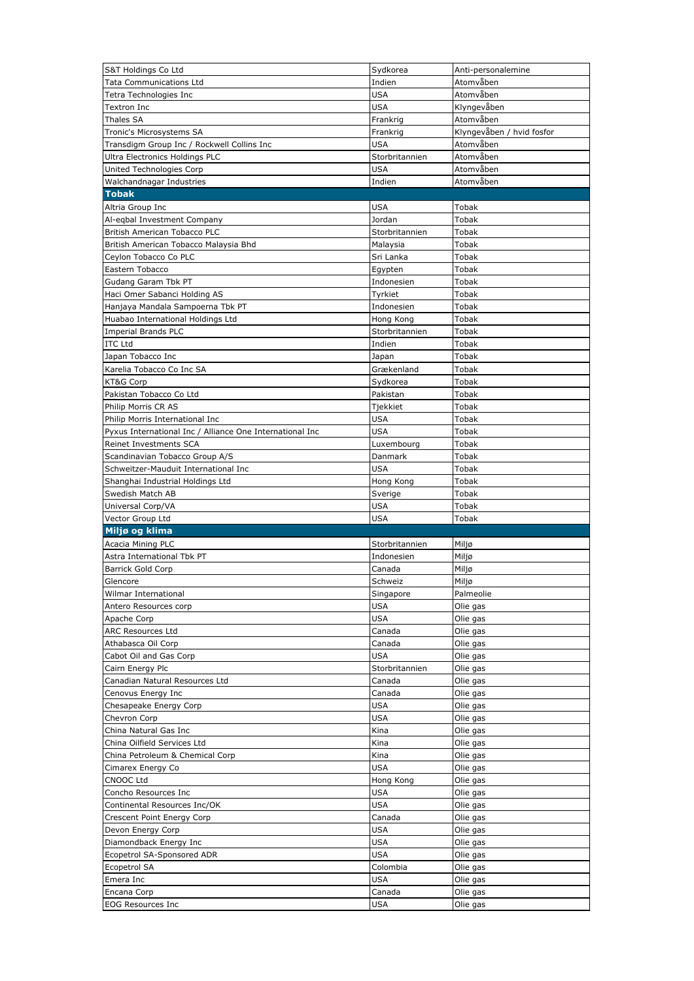| S&T Holdings Co Ltd                                      | Sydkorea             | Anti-personalemine        |
|----------------------------------------------------------|----------------------|---------------------------|
| <b>Tata Communications Ltd</b>                           | Indien               | Atomvåben                 |
| Tetra Technologies Inc                                   | USA                  | Atomvåben                 |
| Textron Inc                                              | USA                  | Klyngevåben               |
| Thales SA                                                | Frankrig             | Atomvåben                 |
| Tronic's Microsystems SA                                 | Frankrig             | Klyngevåben / hvid fosfor |
| Transdigm Group Inc / Rockwell Collins Inc               | <b>USA</b>           | Atomvåben                 |
| Ultra Electronics Holdings PLC                           | Storbritannien       | Atomvåben                 |
| United Technologies Corp                                 | <b>USA</b>           | Atomvåben                 |
| Walchandnagar Industries                                 | Indien               | Atomvåben                 |
| <b>Tobak</b>                                             |                      |                           |
| Altria Group Inc                                         | USA                  | Tobak                     |
| Al-eqbal Investment Company                              | Jordan               | Tobak                     |
| British American Tobacco PLC                             | Storbritannien       | Tobak                     |
| British American Tobacco Malaysia Bhd                    | Malaysia             | Tobak                     |
| Ceylon Tobacco Co PLC                                    | Sri Lanka            | Tobak                     |
| Eastern Tobacco                                          | Egypten              | Tobak                     |
| Gudang Garam Tbk PT                                      | Indonesien           | Tobak                     |
| Haci Omer Sabanci Holding AS                             | Tyrkiet              | Tobak                     |
| Hanjaya Mandala Sampoerna Tbk PT                         | Indonesien           | Tobak                     |
| Huabao International Holdings Ltd                        | Hong Kong            | Tobak                     |
| <b>Imperial Brands PLC</b>                               | Storbritannien       | Tobak                     |
| <b>ITC Ltd</b>                                           | Indien               | Tobak                     |
| Japan Tobacco Inc                                        | Japan                | Tobak                     |
| Karelia Tobacco Co Inc SA                                | Grækenland           | Tobak                     |
| KT&G Corp                                                | Sydkorea             | Tobak                     |
| Pakistan Tobacco Co Ltd                                  | Pakistan             | Tobak                     |
| Philip Morris CR AS                                      | Tjekkiet             | Tobak                     |
| Philip Morris International Inc                          | USA                  | Tobak                     |
| Pyxus International Inc / Alliance One International Inc | <b>USA</b>           | Tobak                     |
| Reinet Investments SCA                                   | Luxembourg           | Tobak                     |
| Scandinavian Tobacco Group A/S                           | Danmark              | Tobak                     |
| Schweitzer-Mauduit International Inc                     | USA                  | Tobak                     |
| Shanghai Industrial Holdings Ltd                         | Hong Kong            | Tobak                     |
|                                                          |                      |                           |
| Swedish Match AB                                         | Sverige              | Tobak                     |
| Universal Corp/VA                                        | USA                  | Tobak                     |
| Vector Group Ltd                                         | USA                  | Tobak                     |
| Miljø og klima                                           |                      |                           |
| Acacia Mining PLC                                        | Storbritannien       | Miljø                     |
| Astra International Tbk PT                               | Indonesien           | Miljø                     |
| <b>Barrick Gold Corp</b>                                 | Canada               | Miljø                     |
| Glencore                                                 | Schweiz              | Miljø                     |
| Wilmar International                                     | Singapore            | Palmeolie                 |
| Antero Resources corp                                    | <b>USA</b>           | Olie gas                  |
| Apache Corp                                              | USA                  | Olie gas                  |
| <b>ARC Resources Ltd</b>                                 | Canada               | Olie gas                  |
| Athabasca Oil Corp                                       | Canada               | Olie gas                  |
| Cabot Oil and Gas Corp                                   | USA                  | Olie gas                  |
| Cairn Energy Plc                                         | Storbritannien       | Olie gas                  |
| Canadian Natural Resources Ltd                           | Canada               | Olie gas                  |
| Cenovus Energy Inc                                       | Canada               | Olie gas                  |
| Chesapeake Energy Corp                                   | <b>USA</b>           | Olie gas                  |
| Chevron Corp                                             | <b>USA</b>           | Olie gas                  |
| China Natural Gas Inc                                    | Kina                 | Olie gas                  |
| China Oilfield Services Ltd                              | Kina                 | Olie gas                  |
| China Petroleum & Chemical Corp                          | Kina                 | Olie gas                  |
| Cimarex Energy Co                                        | USA                  | Olie gas                  |
| CNOOC Ltd                                                | Hong Kong            | Olie gas                  |
| Concho Resources Inc                                     | USA                  | Olie gas                  |
| Continental Resources Inc/OK                             | USA                  | Olie gas                  |
| Crescent Point Energy Corp                               | Canada               | Olie gas                  |
| Devon Energy Corp                                        | <b>USA</b>           | Olie gas                  |
| Diamondback Energy Inc                                   | USA                  | Olie gas                  |
| Ecopetrol SA-Sponsored ADR                               | USA                  | Olie gas                  |
| Ecopetrol SA                                             | Colombia             | Olie gas                  |
| Emera Inc                                                | USA                  | Olie gas                  |
| Encana Corp<br><b>EOG Resources Inc</b>                  | Canada<br><b>USA</b> | Olie gas<br>Olie gas      |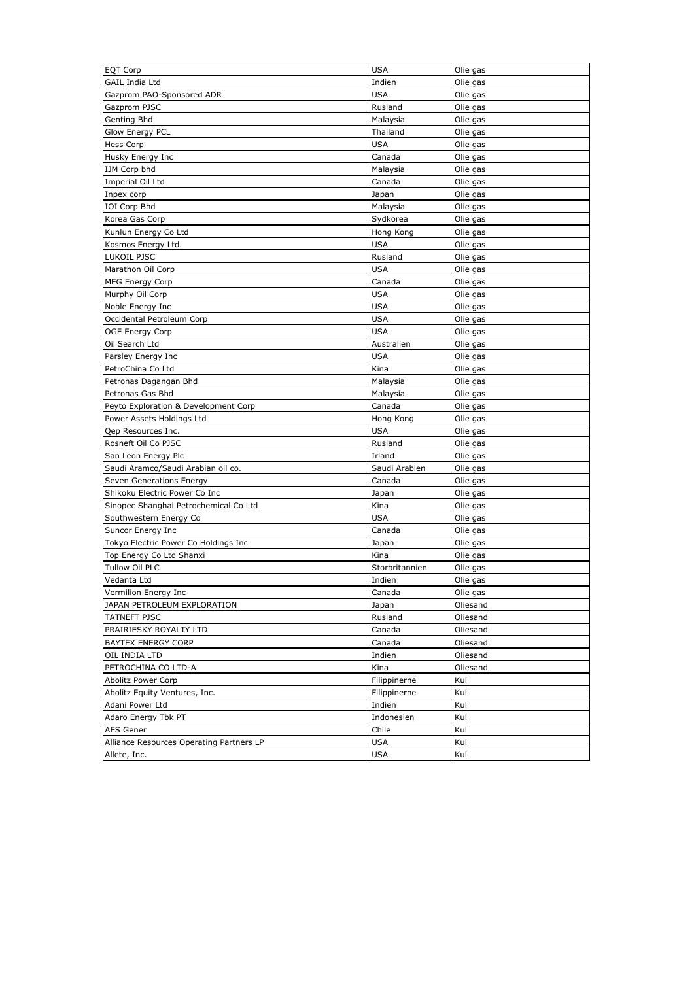| <b>EQT Corp</b>                          | <b>USA</b>     | Olie gas |
|------------------------------------------|----------------|----------|
| <b>GAIL India Ltd</b>                    | Indien         | Olie gas |
| Gazprom PAO-Sponsored ADR                | <b>USA</b>     | Olie gas |
| Gazprom PJSC                             | Rusland        | Olie gas |
| Genting Bhd                              | Malaysia       | Olie gas |
| <b>Glow Energy PCL</b>                   | Thailand       | Olie gas |
| <b>Hess Corp</b>                         | USA            | Olie gas |
| Husky Energy Inc                         | Canada         | Olie gas |
| IJM Corp bhd                             | Malaysia       | Olie gas |
| Imperial Oil Ltd                         | Canada         | Olie gas |
| Inpex corp                               | Japan          | Olie gas |
| IOI Corp Bhd                             | Malaysia       | Olie gas |
| Korea Gas Corp                           | Sydkorea       | Olie gas |
| Kunlun Energy Co Ltd                     | Hong Kong      | Olie gas |
| Kosmos Energy Ltd.                       | USA            | Olie gas |
| LUKOIL PJSC                              | Rusland        | Olie gas |
| Marathon Oil Corp                        | <b>USA</b>     | Olie gas |
| <b>MEG Energy Corp</b>                   | Canada         | Olie gas |
| Murphy Oil Corp                          | <b>USA</b>     | Olie gas |
| Noble Energy Inc                         | USA            | Olie gas |
| Occidental Petroleum Corp                | USA            | Olie gas |
| <b>OGE Energy Corp</b>                   | USA            | Olie gas |
| Oil Search Ltd                           | Australien     | Olie gas |
|                                          |                |          |
| Parsley Energy Inc                       | USA            | Olie gas |
| PetroChina Co Ltd                        | Kina           | Olie gas |
| Petronas Dagangan Bhd                    | Malaysia       | Olie gas |
| Petronas Gas Bhd                         | Malaysia       | Olie gas |
| Peyto Exploration & Development Corp     | Canada         | Olie gas |
| Power Assets Holdings Ltd                | Hong Kong      | Olie gas |
| Qep Resources Inc.                       | <b>USA</b>     | Olie gas |
| Rosneft Oil Co PJSC                      | Rusland        | Olie gas |
| San Leon Energy Plc                      | Irland         | Olie gas |
| Saudi Aramco/Saudi Arabian oil co.       | Saudi Arabien  | Olie gas |
| Seven Generations Energy                 | Canada         | Olie gas |
| Shikoku Electric Power Co Inc            | Japan          | Olie gas |
| Sinopec Shanghai Petrochemical Co Ltd    | Kina           | Olie gas |
| Southwestern Energy Co                   | USA            | Olie gas |
| Suncor Energy Inc                        | Canada         | Olie gas |
| Tokyo Electric Power Co Holdings Inc     | Japan          | Olie gas |
| Top Energy Co Ltd Shanxi                 | Kina           | Olie gas |
| Tullow Oil PLC                           | Storbritannien | Olie gas |
| Vedanta Ltd                              | Indien         | Olie gas |
| Vermilion Energy Inc                     | Canada         | Olie gas |
| JAPAN PETROLEUM EXPLORATION              | Japan          | Oliesand |
| <b>TATNEFT PJSC</b>                      | Rusland        | Oliesand |
| PRAIRIESKY ROYALTY LTD                   | Canada         | Oliesand |
| <b>BAYTEX ENERGY CORP</b>                | Canada         | Oliesand |
| OIL INDIA LTD                            | Indien         | Oliesand |
| PETROCHINA CO LTD-A                      | Kina           | Oliesand |
| Abolitz Power Corp                       | Filippinerne   | Kul      |
| Abolitz Equity Ventures, Inc.            |                | Kul      |
|                                          | Filippinerne   |          |
| Adani Power Ltd                          | Indien         | Kul      |
| Adaro Energy Tbk PT                      | Indonesien     | Kul      |
| <b>AES Gener</b>                         | Chile          | Kul      |
| Alliance Resources Operating Partners LP | USA            | Kul      |
| Allete, Inc.                             | USA            | Kul      |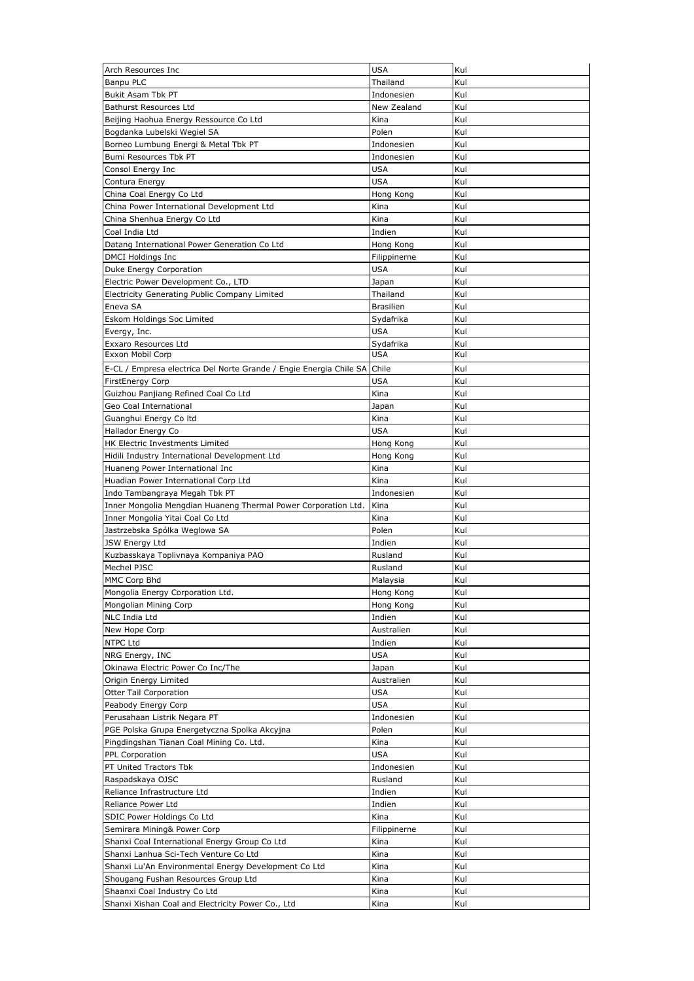| Arch Resources Inc                                                                                 | <b>USA</b>         | Kul        |
|----------------------------------------------------------------------------------------------------|--------------------|------------|
| <b>Banpu PLC</b>                                                                                   | Thailand           | Kul        |
| Bukit Asam Tbk PT                                                                                  | Indonesien         | Kul        |
| <b>Bathurst Resources Ltd</b>                                                                      | New Zealand        | Kul        |
| Beijing Haohua Energy Ressource Co Ltd                                                             | Kina               | Kul        |
| Bogdanka Lubelski Wegiel SA                                                                        | Polen              | Kul        |
| Borneo Lumbung Energi & Metal Tbk PT                                                               | Indonesien         | Kul        |
| Bumi Resources Tbk PT                                                                              | Indonesien         | Kul        |
| Consol Energy Inc                                                                                  | <b>USA</b>         | Kul        |
| Contura Energy                                                                                     | <b>USA</b>         | Kul        |
| China Coal Energy Co Ltd                                                                           | Hong Kong          | Kul        |
| China Power International Development Ltd                                                          | Kina               | Kul        |
| China Shenhua Energy Co Ltd                                                                        | Kina               | Kul        |
| Coal India Ltd                                                                                     | Indien             | Kul        |
| Datang International Power Generation Co Ltd                                                       | Hong Kong          | Kul        |
| DMCI Holdings Inc                                                                                  | Filippinerne       | Kul        |
| Duke Energy Corporation                                                                            | <b>USA</b>         | Kul        |
| Electric Power Development Co., LTD                                                                | Japan              | Kul        |
| Electricity Generating Public Company Limited                                                      | Thailand           | Kul        |
| Eneva SA                                                                                           | <b>Brasilien</b>   | Kul        |
| Eskom Holdings Soc Limited                                                                         | Sydafrika          | Kul        |
| Evergy, Inc.                                                                                       | <b>USA</b>         | Kul        |
| Exxaro Resources Ltd                                                                               | Sydafrika          | Kul        |
| Exxon Mobil Corp                                                                                   | <b>USA</b>         | Kul        |
| E-CL / Empresa electrica Del Norte Grande / Engie Energia Chile SA                                 | Chile              | Kul        |
| <b>FirstEnergy Corp</b>                                                                            | <b>USA</b>         | Kul        |
| Guizhou Panjiang Refined Coal Co Ltd                                                               | Kina               | Kul        |
| Geo Coal International                                                                             | Japan              | Kul        |
| Guanghui Energy Coltd                                                                              | Kina               | Kul        |
| Hallador Energy Co                                                                                 | <b>USA</b>         | Kul        |
| HK Electric Investments Limited                                                                    | Hong Kong          | Kul        |
| Hidili Industry International Development Ltd                                                      | Hong Kong          | Kul        |
| Huaneng Power International Inc                                                                    | Kina               | Kul        |
| Huadian Power International Corp Ltd                                                               | Kina               | Kul        |
|                                                                                                    |                    |            |
|                                                                                                    |                    |            |
| Indo Tambangraya Megah Tbk PT                                                                      | Indonesien<br>Kina | Kul<br>Kul |
| Inner Mongolia Mengdian Huaneng Thermal Power Corporation Ltd.<br>Inner Mongolia Yitai Coal Co Ltd | Kina               |            |
| Jastrzebska Spólka Weglowa SA                                                                      | Polen              | Kul<br>Kul |
| JSW Energy Ltd                                                                                     | Indien             | Kul        |
| Kuzbasskaya Toplivnaya Kompaniya PAO                                                               | Rusland            | Kul        |
| Mechel PJSC                                                                                        | Rusland            | Kul        |
| MMC Corp Bhd                                                                                       | Malaysia           | Kul        |
| Mongolia Energy Corporation Ltd.                                                                   | Hong Kong          | Kul        |
| Mongolian Mining Corp                                                                              | Hong Kong          | Kul        |
| NLC India Ltd                                                                                      | Indien             | Kul        |
| New Hope Corp                                                                                      | Australien         | Kul        |
| NTPC Ltd                                                                                           | Indien             | Kul        |
| NRG Energy, INC                                                                                    | USA                | Kul        |
| Okinawa Electric Power Co Inc/The                                                                  | Japan              | Kul        |
| Origin Energy Limited                                                                              | Australien         | Kul        |
| Otter Tail Corporation                                                                             | USA                | Kul        |
| Peabody Energy Corp                                                                                | <b>USA</b>         | Kul        |
| Perusahaan Listrik Negara PT                                                                       | Indonesien         | Kul        |
| PGE Polska Grupa Energetyczna Spolka Akcyjna                                                       | Polen              | Kul        |
| Pingdingshan Tianan Coal Mining Co. Ltd.                                                           | Kina               | Kul        |
| PPL Corporation                                                                                    | <b>USA</b>         | Kul        |
| PT United Tractors Tbk                                                                             | Indonesien         | Kul        |
| Raspadskaya OJSC                                                                                   | Rusland            | Kul        |
| Reliance Infrastructure Ltd                                                                        | Indien             | Kul        |
| Reliance Power Ltd                                                                                 | Indien             | Kul        |
| SDIC Power Holdings Co Ltd                                                                         | Kina               | Kul        |
| Semirara Mining& Power Corp                                                                        | Filippinerne       | Kul        |
| Shanxi Coal International Energy Group Co Ltd                                                      | Kina               | Kul        |
| Shanxi Lanhua Sci-Tech Venture Co Ltd                                                              | Kina               | Kul        |
| Shanxi Lu'An Environmental Energy Development Co Ltd                                               | Kina               | Kul        |
| Shougang Fushan Resources Group Ltd                                                                | Kina               | Kul        |
| Shaanxi Coal Industry Co Ltd<br>Shanxi Xishan Coal and Electricity Power Co., Ltd                  | Kina<br>Kina       | Kul<br>Kul |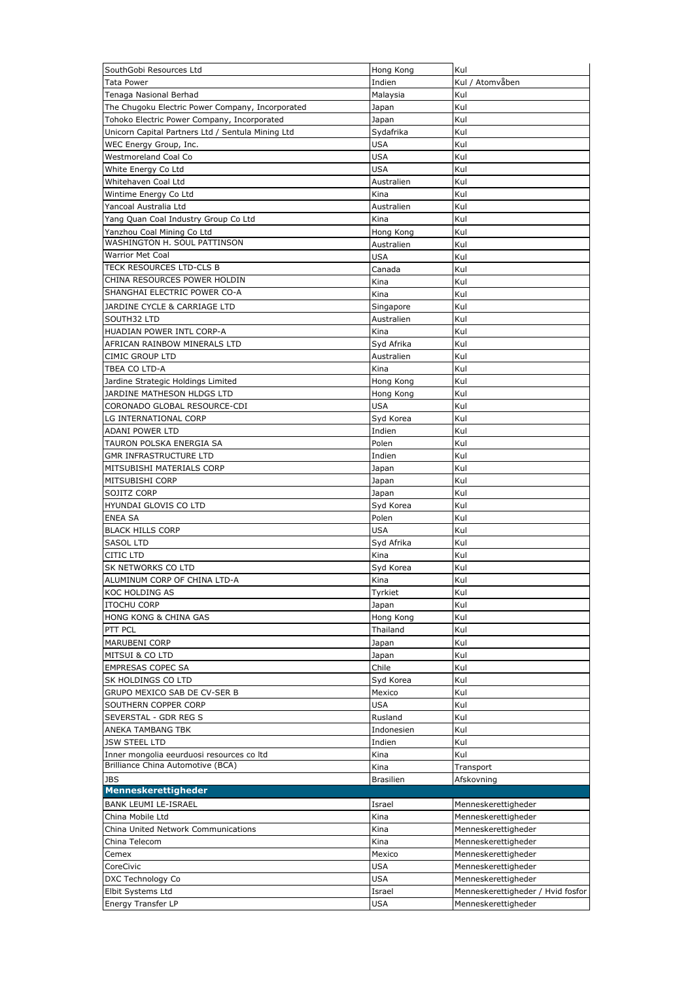| SouthGobi Resources Ltd                                      | Hong Kong            | Kul                               |
|--------------------------------------------------------------|----------------------|-----------------------------------|
| <b>Tata Power</b>                                            | Indien               | Kul / Atomvåben                   |
| Tenaga Nasional Berhad                                       | Malaysia             | Kul                               |
| The Chugoku Electric Power Company, Incorporated             | Japan                | Kul                               |
| Tohoko Electric Power Company, Incorporated                  | Japan                | Kul                               |
| Unicorn Capital Partners Ltd / Sentula Mining Ltd            | Sydafrika            | Kul                               |
| WEC Energy Group, Inc.                                       | USA                  | Kul                               |
| Westmoreland Coal Co                                         | USA                  | Kul                               |
| White Energy Co Ltd                                          | <b>USA</b>           | Kul                               |
| Whitehaven Coal Ltd                                          | Australien           | Kul                               |
| Wintime Energy Co Ltd                                        | Kina                 | Kul                               |
| Yancoal Australia Ltd                                        | Australien           | Kul                               |
| Yang Quan Coal Industry Group Co Ltd                         | Kina                 | Kul                               |
| Yanzhou Coal Mining Co Ltd<br>WASHINGTON H. SOUL PATTINSON   | Hong Kong            | Kul<br>Kul                        |
| <b>Warrior Met Coal</b>                                      | Australien           |                                   |
| TECK RESOURCES LTD-CLS B                                     | <b>USA</b><br>Canada | Kul<br>Kul                        |
| CHINA RESOURCES POWER HOLDIN                                 |                      | Kul                               |
| SHANGHAI ELECTRIC POWER CO-A                                 | Kina                 |                                   |
|                                                              | Kina                 | Kul<br>Kul                        |
| JARDINE CYCLE & CARRIAGE LTD                                 | Singapore            |                                   |
| SOUTH32 LTD                                                  | Australien           | Kul                               |
| HUADIAN POWER INTL CORP-A                                    | Kina                 | Kul                               |
| AFRICAN RAINBOW MINERALS LTD                                 | Syd Afrika           | Kul                               |
| <b>CIMIC GROUP LTD</b>                                       | Australien           | Kul                               |
| TBEA CO LTD-A                                                | Kina                 | Kul                               |
| Jardine Strategic Holdings Limited                           | Hong Kong            | Kul                               |
| JARDINE MATHESON HLDGS LTD                                   | Hong Kong            | Kul                               |
| CORONADO GLOBAL RESOURCE-CDI                                 | USA                  | Kul                               |
| LG INTERNATIONAL CORP                                        | Syd Korea            | Kul                               |
| ADANI POWER LTD                                              | Indien               | Kul                               |
| TAURON POLSKA ENERGIA SA                                     | Polen                | Kul                               |
| <b>GMR INFRASTRUCTURE LTD</b>                                | Indien               | Kul                               |
| MITSUBISHI MATERIALS CORP                                    | Japan                | Kul                               |
| MITSUBISHI CORP                                              | Japan                | Kul                               |
| SOJITZ CORP                                                  | Japan                | Kul                               |
| HYUNDAI GLOVIS CO LTD                                        | Syd Korea            | Kul                               |
| <b>ENEA SA</b>                                               | Polen                | Kul                               |
| <b>BLACK HILLS CORP</b>                                      | USA                  | Kul                               |
| <b>SASOL LTD</b>                                             | Syd Afrika           | Kul                               |
| <b>CITIC LTD</b>                                             | Kina                 | Kul                               |
| SK NETWORKS CO LTD                                           | Svd Korea            | Kul                               |
| ALUMINUM CORP OF CHINA LTD-A                                 | Kina                 | Kul                               |
| KOC HOLDING AS                                               | Tyrkiet              | Kul                               |
| <b>ITOCHU CORP</b>                                           | Japan                | Kul                               |
| HONG KONG & CHINA GAS                                        | Hong Kong            | Kul                               |
| PTT PCL                                                      | Thailand             | Kul                               |
| MARUBENI CORP                                                | Japan                | Kul                               |
| MITSUI & CO LTD                                              | Japan                | Kul                               |
| <b>EMPRESAS COPEC SA</b>                                     | Chile                | Kul                               |
| SK HOLDINGS CO LTD                                           | Syd Korea            | Kul                               |
| GRUPO MEXICO SAB DE CV-SER B                                 | Mexico               | Kul                               |
| SOUTHERN COPPER CORP                                         | USA                  | Kul                               |
| SEVERSTAL - GDR REG S                                        | Rusland              | Kul                               |
| ANEKA TAMBANG TBK                                            | Indonesien           | Kul                               |
| JSW STEEL LTD                                                | Indien               | Kul                               |
| Inner mongolia eeurduosi resources co Itd                    | Kina                 | Kul                               |
| Brilliance China Automotive (BCA)                            | Kina                 | Transport                         |
| <b>JBS</b>                                                   | <b>Brasilien</b>     | Afskovning                        |
| Menneskerettigheder                                          |                      |                                   |
| <b>BANK LEUMI LE-ISRAEL</b>                                  | Israel               | Menneskerettigheder               |
| China Mobile Ltd                                             | Kina                 | Menneskerettigheder               |
| China United Network Communications                          | Kina                 | Menneskerettigheder               |
| China Telecom                                                | Kina                 | Menneskerettigheder               |
|                                                              |                      | Menneskerettigheder               |
|                                                              | Mexico               |                                   |
|                                                              | USA                  | Menneskerettigheder               |
|                                                              | USA                  | Menneskerettigheder               |
| Cemex<br>CoreCivic<br>DXC Technology Co<br>Elbit Systems Ltd | Israel               | Menneskerettigheder / Hvid fosfor |